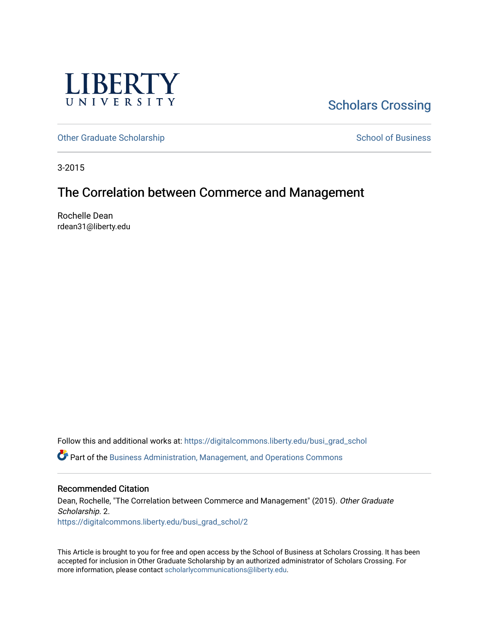

# **Scholars Crossing**

[Other Graduate Scholarship](https://digitalcommons.liberty.edu/busi_grad_schol) [School of Business](https://digitalcommons.liberty.edu/sob) and School of Business

3-2015

## The Correlation between Commerce and Management

Rochelle Dean rdean31@liberty.edu

Follow this and additional works at: [https://digitalcommons.liberty.edu/busi\\_grad\\_schol](https://digitalcommons.liberty.edu/busi_grad_schol?utm_source=digitalcommons.liberty.edu%2Fbusi_grad_schol%2F2&utm_medium=PDF&utm_campaign=PDFCoverPages)  Part of the [Business Administration, Management, and Operations Commons](http://network.bepress.com/hgg/discipline/623?utm_source=digitalcommons.liberty.edu%2Fbusi_grad_schol%2F2&utm_medium=PDF&utm_campaign=PDFCoverPages)

## Recommended Citation

Dean, Rochelle, "The Correlation between Commerce and Management" (2015). Other Graduate Scholarship. 2. [https://digitalcommons.liberty.edu/busi\\_grad\\_schol/2](https://digitalcommons.liberty.edu/busi_grad_schol/2?utm_source=digitalcommons.liberty.edu%2Fbusi_grad_schol%2F2&utm_medium=PDF&utm_campaign=PDFCoverPages) 

This Article is brought to you for free and open access by the School of Business at Scholars Crossing. It has been accepted for inclusion in Other Graduate Scholarship by an authorized administrator of Scholars Crossing. For more information, please contact [scholarlycommunications@liberty.edu](mailto:scholarlycommunications@liberty.edu).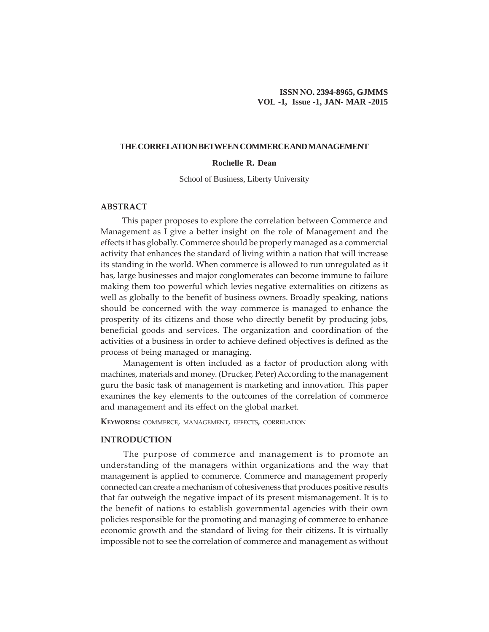#### **THE CORRELATION BETWEEN COMMERCE AND MANAGEMENT**

## **Rochelle R. Dean**

School of Business, Liberty University

## **ABSTRACT**

This paper proposes to explore the correlation between Commerce and Management as I give a better insight on the role of Management and the effects it has globally. Commerce should be properly managed as a commercial activity that enhances the standard of living within a nation that will increase its standing in the world. When commerce is allowed to run unregulated as it has, large businesses and major conglomerates can become immune to failure making them too powerful which levies negative externalities on citizens as well as globally to the benefit of business owners. Broadly speaking, nations should be concerned with the way commerce is managed to enhance the prosperity of its citizens and those who directly benefit by producing jobs, beneficial goods and services. The organization and coordination of the activities of a business in order to achieve defined objectives is defined as the process of being managed or managing.

 Management is often included as a factor of production along with machines, materials and money. (Drucker, Peter) According to the management guru the basic task of management is marketing and innovation. This paper examines the key elements to the outcomes of the correlation of commerce and management and its effect on the global market.

**KEYWORDS:** COMMERCE, MANAGEMENT, EFFECTS, CORRELATION

#### **INTRODUCTION**

The purpose of commerce and management is to promote an understanding of the managers within organizations and the way that management is applied to commerce. Commerce and management properly connected can create a mechanism of cohesiveness that produces positive results that far outweigh the negative impact of its present mismanagement. It is to the benefit of nations to establish governmental agencies with their own policies responsible for the promoting and managing of commerce to enhance economic growth and the standard of living for their citizens. It is virtually impossible not to see the correlation of commerce and management as without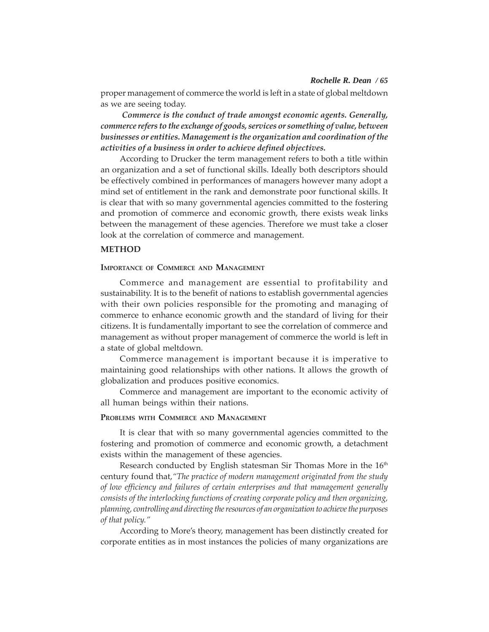#### *Rochelle R. Dean / 65*

proper management of commerce the world is left in a state of global meltdown as we are seeing today.

*Commerce is the conduct of trade amongst economic agents. Generally, commerce refers to the exchange of goods, services or something of value, between businesses or entities. Management is the organization and coordination of the activities of a business in order to achieve defined objectives.*

According to Drucker the term management refers to both a title within an organization and a set of functional skills. Ideally both descriptors should be effectively combined in performances of managers however many adopt a mind set of entitlement in the rank and demonstrate poor functional skills. It is clear that with so many governmental agencies committed to the fostering and promotion of commerce and economic growth, there exists weak links between the management of these agencies. Therefore we must take a closer look at the correlation of commerce and management.

## **METHOD**

## **IMPORTANCE OF COMMERCE AND MANAGEMENT**

Commerce and management are essential to profitability and sustainability. It is to the benefit of nations to establish governmental agencies with their own policies responsible for the promoting and managing of commerce to enhance economic growth and the standard of living for their citizens. It is fundamentally important to see the correlation of commerce and management as without proper management of commerce the world is left in a state of global meltdown.

Commerce management is important because it is imperative to maintaining good relationships with other nations. It allows the growth of globalization and produces positive economics.

Commerce and management are important to the economic activity of all human beings within their nations.

#### **PROBLEMS WITH COMMERCE AND MANAGEMENT**

It is clear that with so many governmental agencies committed to the fostering and promotion of commerce and economic growth, a detachment exists within the management of these agencies.

Research conducted by English statesman Sir Thomas More in the  $16<sup>th</sup>$ century found that,*"The practice of modern management originated from the study of low efficiency and failures of certain enterprises and that management generally consists of the interlocking functions of creating corporate policy and then organizing, planning, controlling and directing the resources of an organization to achieve the purposes of that policy."*

According to More's theory, management has been distinctly created for corporate entities as in most instances the policies of many organizations are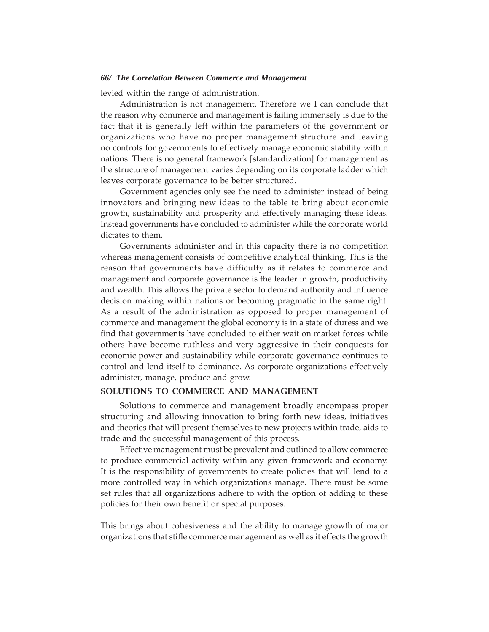#### *66/ The Correlation Between Commerce and Management*

levied within the range of administration.

Administration is not management. Therefore we I can conclude that the reason why commerce and management is failing immensely is due to the fact that it is generally left within the parameters of the government or organizations who have no proper management structure and leaving no controls for governments to effectively manage economic stability within nations. There is no general framework [standardization] for management as the structure of management varies depending on its corporate ladder which leaves corporate governance to be better structured.

Government agencies only see the need to administer instead of being innovators and bringing new ideas to the table to bring about economic growth, sustainability and prosperity and effectively managing these ideas. Instead governments have concluded to administer while the corporate world dictates to them.

Governments administer and in this capacity there is no competition whereas management consists of competitive analytical thinking. This is the reason that governments have difficulty as it relates to commerce and management and corporate governance is the leader in growth, productivity and wealth. This allows the private sector to demand authority and influence decision making within nations or becoming pragmatic in the same right. As a result of the administration as opposed to proper management of commerce and management the global economy is in a state of duress and we find that governments have concluded to either wait on market forces while others have become ruthless and very aggressive in their conquests for economic power and sustainability while corporate governance continues to control and lend itself to dominance. As corporate organizations effectively administer, manage, produce and grow.

#### **SOLUTIONS TO COMMERCE AND MANAGEMENT**

Solutions to commerce and management broadly encompass proper structuring and allowing innovation to bring forth new ideas, initiatives and theories that will present themselves to new projects within trade, aids to trade and the successful management of this process.

Effective management must be prevalent and outlined to allow commerce to produce commercial activity within any given framework and economy. It is the responsibility of governments to create policies that will lend to a more controlled way in which organizations manage. There must be some set rules that all organizations adhere to with the option of adding to these policies for their own benefit or special purposes.

This brings about cohesiveness and the ability to manage growth of major organizations that stifle commerce management as well as it effects the growth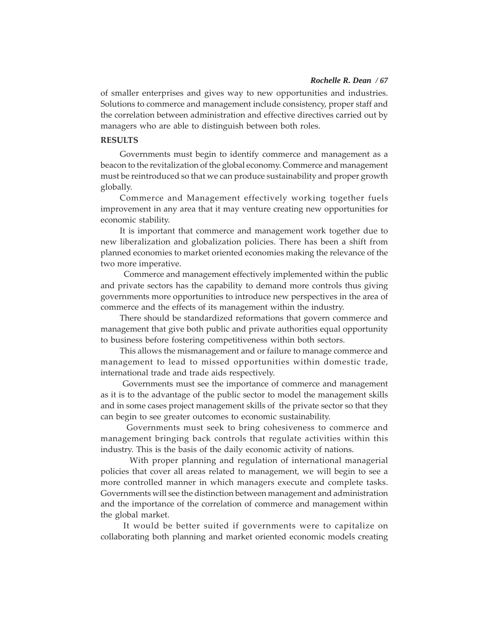#### *Rochelle R. Dean / 67*

of smaller enterprises and gives way to new opportunities and industries. Solutions to commerce and management include consistency, proper staff and the correlation between administration and effective directives carried out by managers who are able to distinguish between both roles.

#### **RESULTS**

Governments must begin to identify commerce and management as a beacon to the revitalization of the global economy. Commerce and management must be reintroduced so that we can produce sustainability and proper growth globally.

Commerce and Management effectively working together fuels improvement in any area that it may venture creating new opportunities for economic stability.

It is important that commerce and management work together due to new liberalization and globalization policies. There has been a shift from planned economies to market oriented economies making the relevance of the two more imperative.

 Commerce and management effectively implemented within the public and private sectors has the capability to demand more controls thus giving governments more opportunities to introduce new perspectives in the area of commerce and the effects of its management within the industry.

There should be standardized reformations that govern commerce and management that give both public and private authorities equal opportunity to business before fostering competitiveness within both sectors.

This allows the mismanagement and or failure to manage commerce and management to lead to missed opportunities within domestic trade, international trade and trade aids respectively.

 Governments must see the importance of commerce and management as it is to the advantage of the public sector to model the management skills and in some cases project management skills of the private sector so that they can begin to see greater outcomes to economic sustainability.

 Governments must seek to bring cohesiveness to commerce and management bringing back controls that regulate activities within this industry. This is the basis of the daily economic activity of nations.

 With proper planning and regulation of international managerial policies that cover all areas related to management, we will begin to see a more controlled manner in which managers execute and complete tasks. Governments will see the distinction between management and administration and the importance of the correlation of commerce and management within the global market.

 It would be better suited if governments were to capitalize on collaborating both planning and market oriented economic models creating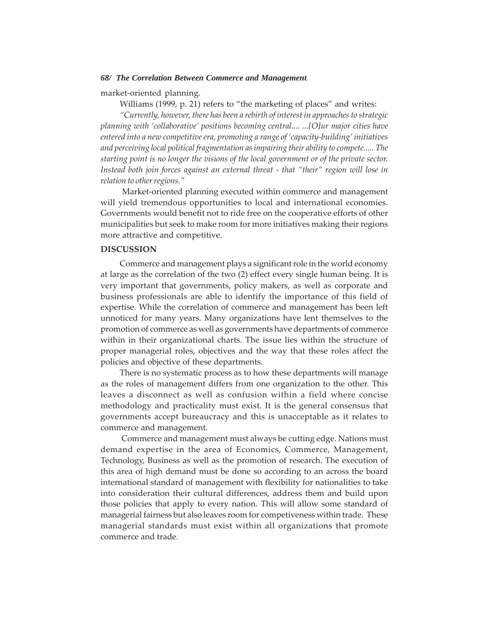#### *68/ The Correlation Between Commerce and Management*

market-oriented planning.

Williams (1999, p. 21) refers to "the marketing of places" and writes:

*"Currently, however, there has been a rebirth of interest in approaches to strategic planning with 'collaborative' positions becoming central.... ...[O]ur major cities have entered into a new competitive era, promoting a range of 'capacity-building' initiatives and perceiving local political fragmentation as impairing their ability to compete..... The starting point is no longer the visions of the local government or of the private sector. Instead both join forces against an external threat - that "their" region will lose in relation to other regions."*

Market-oriented planning executed within commerce and management will yield tremendous opportunities to local and international economies. Governments would benefit not to ride free on the cooperative efforts of other municipalities but seek to make room for more initiatives making their regions more attractive and competitive.

### **DISCUSSION**

Commerce and management plays a significant role in the world economy at large as the correlation of the two (2) effect every single human being. It is very important that governments, policy makers, as well as corporate and business professionals are able to identify the importance of this field of expertise. While the correlation of commerce and management has been left unnoticed for many years. Many organizations have lent themselves to the promotion of commerce as well as governments have departments of commerce within in their organizational charts. The issue lies within the structure of proper managerial roles, objectives and the way that these roles affect the policies and objective of these departments.

There is no systematic process as to how these departments will manage as the roles of management differs from one organization to the other. This leaves a disconnect as well as confusion within a field where concise methodology and practicality must exist. It is the general consensus that governments accept bureaucracy and this is unacceptable as it relates to commerce and management.

 Commerce and management must always be cutting edge. Nations must demand expertise in the area of Economics, Commerce, Management, Technology, Business as well as the promotion of research. The execution of this area of high demand must be done so according to an across the board international standard of management with flexibility for nationalities to take into consideration their cultural differences, address them and build upon those policies that apply to every nation. This will allow some standard of managerial fairness but also leaves room for competiveness within trade. These managerial standards must exist within all organizations that promote commerce and trade.